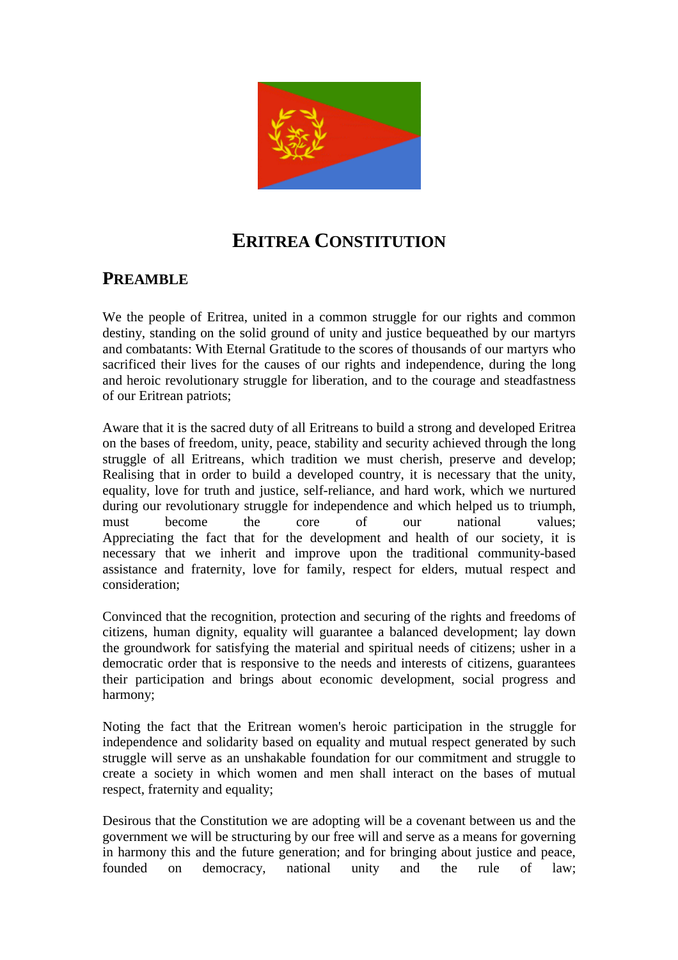

# **ERITREA CONSTITUTION**

# **PREAMBLE**

We the people of Eritrea, united in a common struggle for our rights and common destiny, standing on the solid ground of unity and justice bequeathed by our martyrs and combatants: With Eternal Gratitude to the scores of thousands of our martyrs who sacrificed their lives for the causes of our rights and independence, during the long and heroic revolutionary struggle for liberation, and to the courage and steadfastness of our Eritrean patriots;

Aware that it is the sacred duty of all Eritreans to build a strong and developed Eritrea on the bases of freedom, unity, peace, stability and security achieved through the long struggle of all Eritreans, which tradition we must cherish, preserve and develop; Realising that in order to build a developed country, it is necessary that the unity, equality, love for truth and justice, self-reliance, and hard work, which we nurtured during our revolutionary struggle for independence and which helped us to triumph, must become the core of our national values; Appreciating the fact that for the development and health of our society, it is necessary that we inherit and improve upon the traditional community-based assistance and fraternity, love for family, respect for elders, mutual respect and consideration;

Convinced that the recognition, protection and securing of the rights and freedoms of citizens, human dignity, equality will guarantee a balanced development; lay down the groundwork for satisfying the material and spiritual needs of citizens; usher in a democratic order that is responsive to the needs and interests of citizens, guarantees their participation and brings about economic development, social progress and harmony;

Noting the fact that the Eritrean women's heroic participation in the struggle for independence and solidarity based on equality and mutual respect generated by such struggle will serve as an unshakable foundation for our commitment and struggle to create a society in which women and men shall interact on the bases of mutual respect, fraternity and equality;

Desirous that the Constitution we are adopting will be a covenant between us and the government we will be structuring by our free will and serve as a means for governing in harmony this and the future generation; and for bringing about justice and peace, founded on democracy, national unity and the rule of law;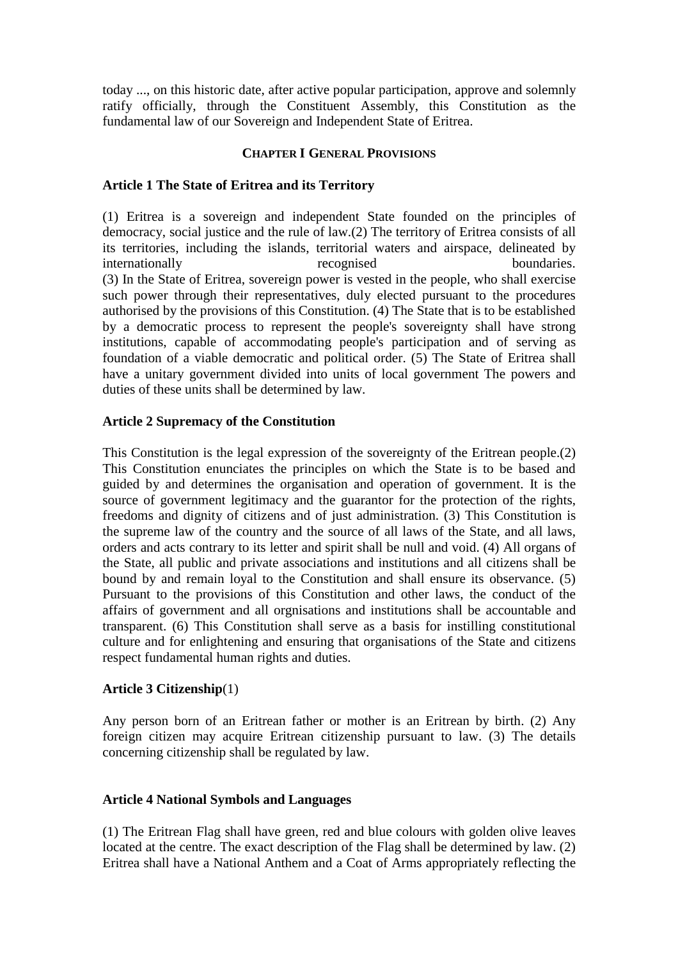today ..., on this historic date, after active popular participation, approve and solemnly ratify officially, through the Constituent Assembly, this Constitution as the fundamental law of our Sovereign and Independent State of Eritrea.

#### **CHAPTER I GENERAL PROVISIONS**

#### **Article 1 The State of Eritrea and its Territory**

(1) Eritrea is a sovereign and independent State founded on the principles of democracy, social justice and the rule of law.(2) The territory of Eritrea consists of all its territories, including the islands, territorial waters and airspace, delineated by internationally recognised boundaries. (3) In the State of Eritrea, sovereign power is vested in the people, who shall exercise such power through their representatives, duly elected pursuant to the procedures authorised by the provisions of this Constitution. (4) The State that is to be established by a democratic process to represent the people's sovereignty shall have strong institutions, capable of accommodating people's participation and of serving as foundation of a viable democratic and political order. (5) The State of Eritrea shall have a unitary government divided into units of local government The powers and duties of these units shall be determined by law.

#### **Article 2 Supremacy of the Constitution**

This Constitution is the legal expression of the sovereignty of the Eritrean people.(2) This Constitution enunciates the principles on which the State is to be based and guided by and determines the organisation and operation of government. It is the source of government legitimacy and the guarantor for the protection of the rights, freedoms and dignity of citizens and of just administration. (3) This Constitution is the supreme law of the country and the source of all laws of the State, and all laws, orders and acts contrary to its letter and spirit shall be null and void. (4) All organs of the State, all public and private associations and institutions and all citizens shall be bound by and remain loyal to the Constitution and shall ensure its observance. (5) Pursuant to the provisions of this Constitution and other laws, the conduct of the affairs of government and all orgnisations and institutions shall be accountable and transparent. (6) This Constitution shall serve as a basis for instilling constitutional culture and for enlightening and ensuring that organisations of the State and citizens respect fundamental human rights and duties.

#### **Article 3 Citizenship**(1)

Any person born of an Eritrean father or mother is an Eritrean by birth. (2) Any foreign citizen may acquire Eritrean citizenship pursuant to law. (3) The details concerning citizenship shall be regulated by law.

#### **Article 4 National Symbols and Languages**

(1) The Eritrean Flag shall have green, red and blue colours with golden olive leaves located at the centre. The exact description of the Flag shall be determined by law. (2) Eritrea shall have a National Anthem and a Coat of Arms appropriately reflecting the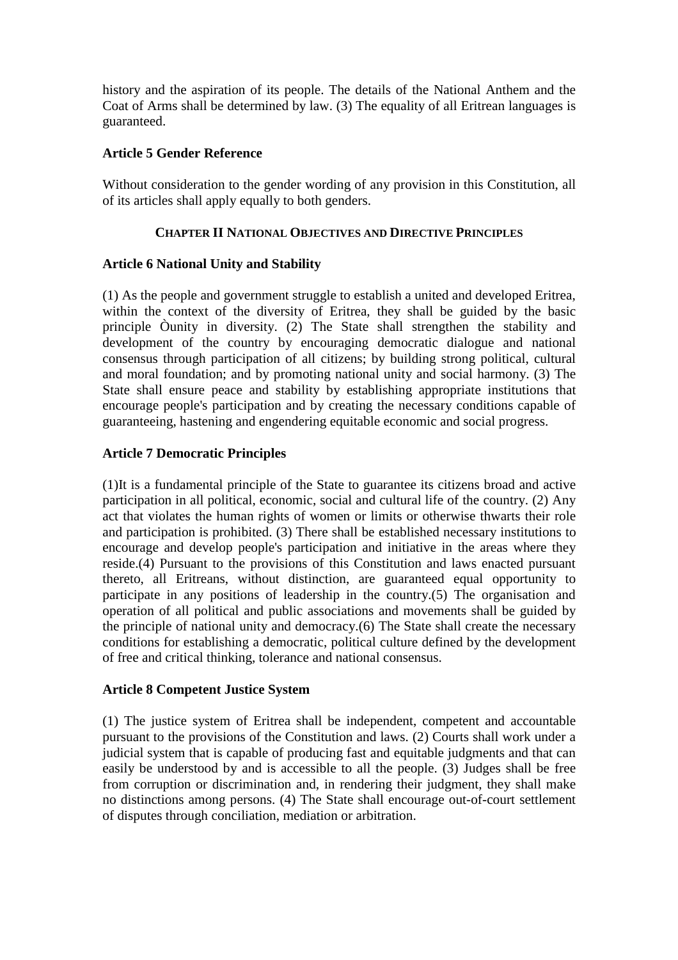history and the aspiration of its people. The details of the National Anthem and the Coat of Arms shall be determined by law. (3) The equality of all Eritrean languages is guaranteed.

# **Article 5 Gender Reference**

Without consideration to the gender wording of any provision in this Constitution, all of its articles shall apply equally to both genders.

# **CHAPTER II NATIONAL OBJECTIVES AND DIRECTIVE PRINCIPLES**

# **Article 6 National Unity and Stability**

(1) As the people and government struggle to establish a united and developed Eritrea, within the context of the diversity of Eritrea, they shall be guided by the basic principle Òunity in diversity. (2) The State shall strengthen the stability and development of the country by encouraging democratic dialogue and national consensus through participation of all citizens; by building strong political, cultural and moral foundation; and by promoting national unity and social harmony. (3) The State shall ensure peace and stability by establishing appropriate institutions that encourage people's participation and by creating the necessary conditions capable of guaranteeing, hastening and engendering equitable economic and social progress.

# **Article 7 Democratic Principles**

(1)It is a fundamental principle of the State to guarantee its citizens broad and active participation in all political, economic, social and cultural life of the country. (2) Any act that violates the human rights of women or limits or otherwise thwarts their role and participation is prohibited. (3) There shall be established necessary institutions to encourage and develop people's participation and initiative in the areas where they reside.(4) Pursuant to the provisions of this Constitution and laws enacted pursuant thereto, all Eritreans, without distinction, are guaranteed equal opportunity to participate in any positions of leadership in the country.(5) The organisation and operation of all political and public associations and movements shall be guided by the principle of national unity and democracy.(6) The State shall create the necessary conditions for establishing a democratic, political culture defined by the development of free and critical thinking, tolerance and national consensus.

#### **Article 8 Competent Justice System**

(1) The justice system of Eritrea shall be independent, competent and accountable pursuant to the provisions of the Constitution and laws. (2) Courts shall work under a judicial system that is capable of producing fast and equitable judgments and that can easily be understood by and is accessible to all the people. (3) Judges shall be free from corruption or discrimination and, in rendering their judgment, they shall make no distinctions among persons. (4) The State shall encourage out-of-court settlement of disputes through conciliation, mediation or arbitration.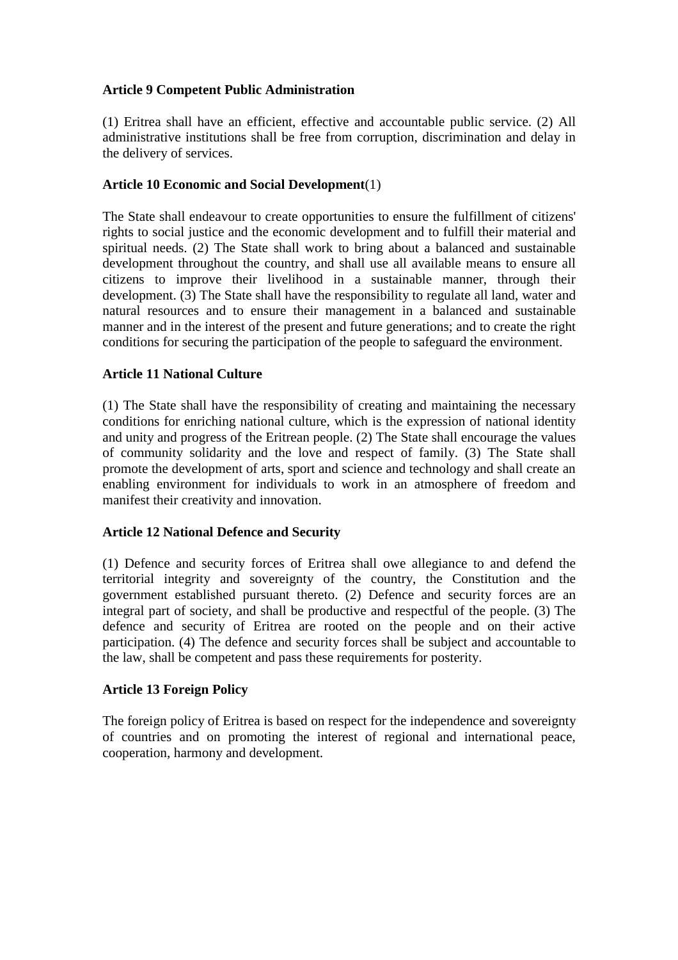# **Article 9 Competent Public Administration**

(1) Eritrea shall have an efficient, effective and accountable public service. (2) All administrative institutions shall be free from corruption, discrimination and delay in the delivery of services.

#### **Article 10 Economic and Social Development**(1)

The State shall endeavour to create opportunities to ensure the fulfillment of citizens' rights to social justice and the economic development and to fulfill their material and spiritual needs. (2) The State shall work to bring about a balanced and sustainable development throughout the country, and shall use all available means to ensure all citizens to improve their livelihood in a sustainable manner, through their development. (3) The State shall have the responsibility to regulate all land, water and natural resources and to ensure their management in a balanced and sustainable manner and in the interest of the present and future generations; and to create the right conditions for securing the participation of the people to safeguard the environment.

#### **Article 11 National Culture**

(1) The State shall have the responsibility of creating and maintaining the necessary conditions for enriching national culture, which is the expression of national identity and unity and progress of the Eritrean people. (2) The State shall encourage the values of community solidarity and the love and respect of family. (3) The State shall promote the development of arts, sport and science and technology and shall create an enabling environment for individuals to work in an atmosphere of freedom and manifest their creativity and innovation.

#### **Article 12 National Defence and Security**

(1) Defence and security forces of Eritrea shall owe allegiance to and defend the territorial integrity and sovereignty of the country, the Constitution and the government established pursuant thereto. (2) Defence and security forces are an integral part of society, and shall be productive and respectful of the people. (3) The defence and security of Eritrea are rooted on the people and on their active participation. (4) The defence and security forces shall be subject and accountable to the law, shall be competent and pass these requirements for posterity.

#### **Article 13 Foreign Policy**

The foreign policy of Eritrea is based on respect for the independence and sovereignty of countries and on promoting the interest of regional and international peace, cooperation, harmony and development.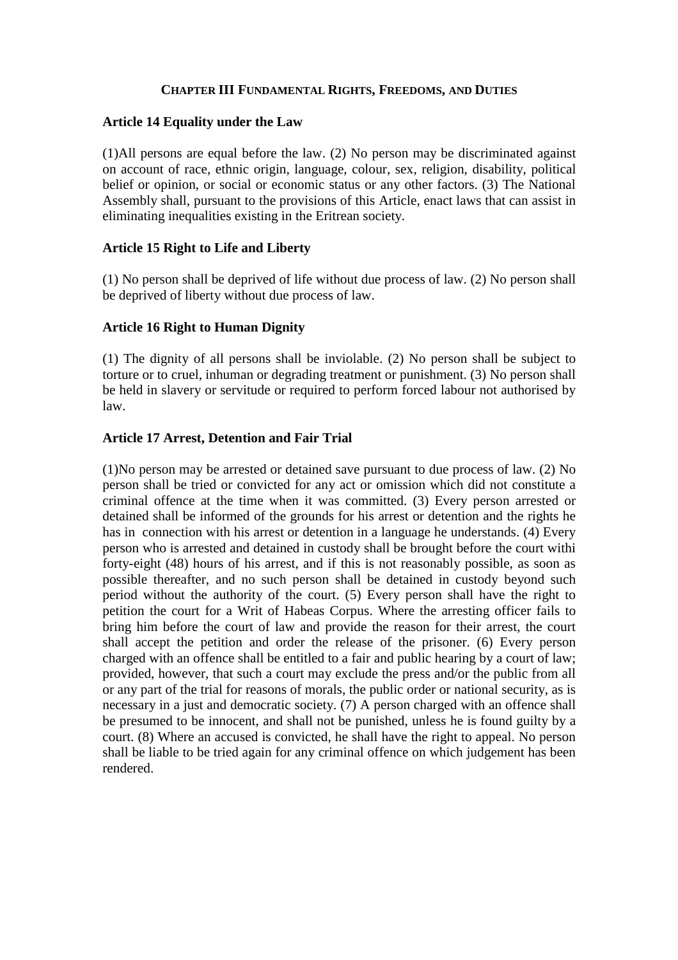#### **CHAPTER III FUNDAMENTAL RIGHTS, FREEDOMS, AND DUTIES**

#### **Article 14 Equality under the Law**

(1)All persons are equal before the law. (2) No person may be discriminated against on account of race, ethnic origin, language, colour, sex, religion, disability, political belief or opinion, or social or economic status or any other factors. (3) The National Assembly shall, pursuant to the provisions of this Article, enact laws that can assist in eliminating inequalities existing in the Eritrean society.

#### **Article 15 Right to Life and Liberty**

(1) No person shall be deprived of life without due process of law. (2) No person shall be deprived of liberty without due process of law.

#### **Article 16 Right to Human Dignity**

(1) The dignity of all persons shall be inviolable. (2) No person shall be subject to torture or to cruel, inhuman or degrading treatment or punishment. (3) No person shall be held in slavery or servitude or required to perform forced labour not authorised by law.

#### **Article 17 Arrest, Detention and Fair Trial**

(1)No person may be arrested or detained save pursuant to due process of law. (2) No person shall be tried or convicted for any act or omission which did not constitute a criminal offence at the time when it was committed. (3) Every person arrested or detained shall be informed of the grounds for his arrest or detention and the rights he has in connection with his arrest or detention in a language he understands. (4) Every person who is arrested and detained in custody shall be brought before the court withi forty-eight (48) hours of his arrest, and if this is not reasonably possible, as soon as possible thereafter, and no such person shall be detained in custody beyond such period without the authority of the court. (5) Every person shall have the right to petition the court for a Writ of Habeas Corpus. Where the arresting officer fails to bring him before the court of law and provide the reason for their arrest, the court shall accept the petition and order the release of the prisoner. (6) Every person charged with an offence shall be entitled to a fair and public hearing by a court of law; provided, however, that such a court may exclude the press and/or the public from all or any part of the trial for reasons of morals, the public order or national security, as is necessary in a just and democratic society. (7) A person charged with an offence shall be presumed to be innocent, and shall not be punished, unless he is found guilty by a court. (8) Where an accused is convicted, he shall have the right to appeal. No person shall be liable to be tried again for any criminal offence on which judgement has been rendered.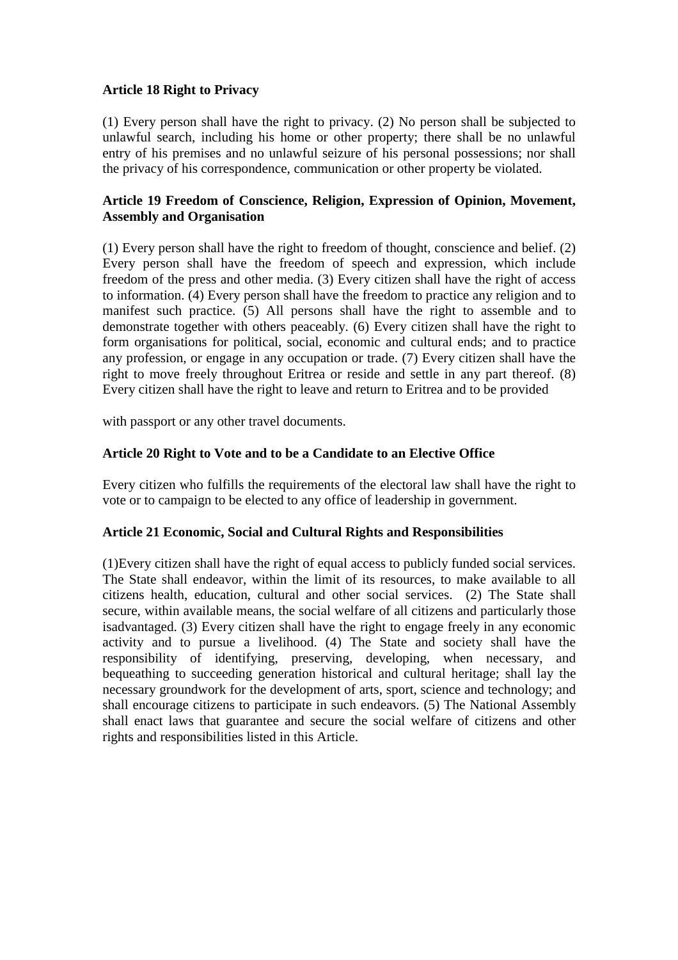# **Article 18 Right to Privacy**

(1) Every person shall have the right to privacy. (2) No person shall be subjected to unlawful search, including his home or other property; there shall be no unlawful entry of his premises and no unlawful seizure of his personal possessions; nor shall the privacy of his correspondence, communication or other property be violated.

#### **Article 19 Freedom of Conscience, Religion, Expression of Opinion, Movement, Assembly and Organisation**

(1) Every person shall have the right to freedom of thought, conscience and belief. (2) Every person shall have the freedom of speech and expression, which include freedom of the press and other media. (3) Every citizen shall have the right of access to information. (4) Every person shall have the freedom to practice any religion and to manifest such practice. (5) All persons shall have the right to assemble and to demonstrate together with others peaceably. (6) Every citizen shall have the right to form organisations for political, social, economic and cultural ends; and to practice any profession, or engage in any occupation or trade. (7) Every citizen shall have the right to move freely throughout Eritrea or reside and settle in any part thereof. (8) Every citizen shall have the right to leave and return to Eritrea and to be provided

with passport or any other travel documents.

# **Article 20 Right to Vote and to be a Candidate to an Elective Office**

Every citizen who fulfills the requirements of the electoral law shall have the right to vote or to campaign to be elected to any office of leadership in government.

#### **Article 21 Economic, Social and Cultural Rights and Responsibilities**

(1)Every citizen shall have the right of equal access to publicly funded social services. The State shall endeavor, within the limit of its resources, to make available to all citizens health, education, cultural and other social services. (2) The State shall secure, within available means, the social welfare of all citizens and particularly those isadvantaged. (3) Every citizen shall have the right to engage freely in any economic activity and to pursue a livelihood. (4) The State and society shall have the responsibility of identifying, preserving, developing, when necessary, and bequeathing to succeeding generation historical and cultural heritage; shall lay the necessary groundwork for the development of arts, sport, science and technology; and shall encourage citizens to participate in such endeavors. (5) The National Assembly shall enact laws that guarantee and secure the social welfare of citizens and other rights and responsibilities listed in this Article.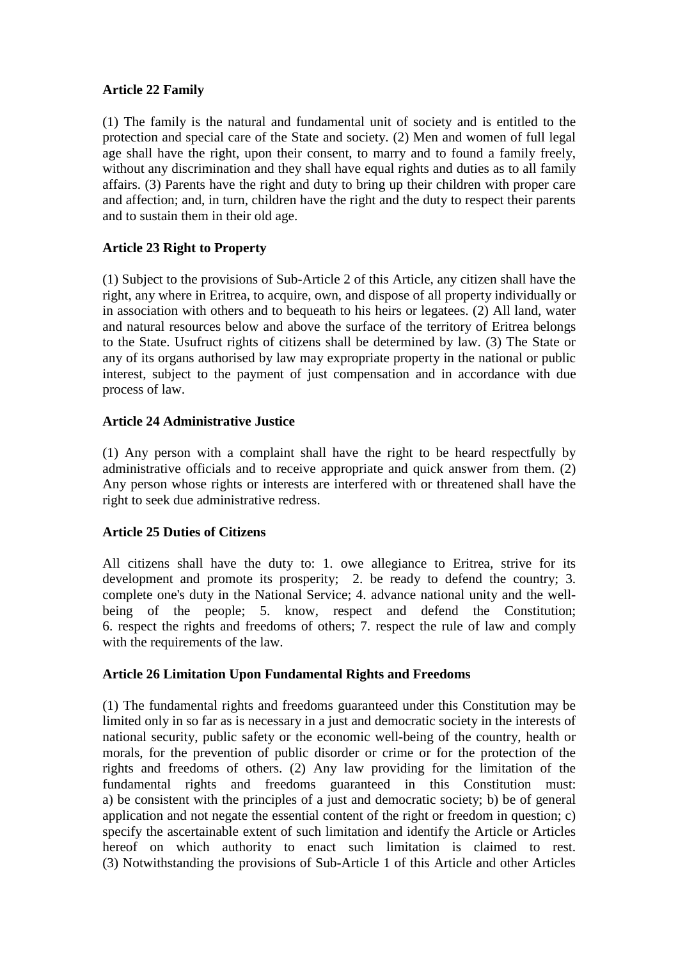# **Article 22 Family**

(1) The family is the natural and fundamental unit of society and is entitled to the protection and special care of the State and society. (2) Men and women of full legal age shall have the right, upon their consent, to marry and to found a family freely, without any discrimination and they shall have equal rights and duties as to all family affairs. (3) Parents have the right and duty to bring up their children with proper care and affection; and, in turn, children have the right and the duty to respect their parents and to sustain them in their old age.

# **Article 23 Right to Property**

(1) Subject to the provisions of Sub-Article 2 of this Article, any citizen shall have the right, any where in Eritrea, to acquire, own, and dispose of all property individually or in association with others and to bequeath to his heirs or legatees. (2) All land, water and natural resources below and above the surface of the territory of Eritrea belongs to the State. Usufruct rights of citizens shall be determined by law. (3) The State or any of its organs authorised by law may expropriate property in the national or public interest, subject to the payment of just compensation and in accordance with due process of law.

# **Article 24 Administrative Justice**

(1) Any person with a complaint shall have the right to be heard respectfully by administrative officials and to receive appropriate and quick answer from them. (2) Any person whose rights or interests are interfered with or threatened shall have the right to seek due administrative redress.

# **Article 25 Duties of Citizens**

All citizens shall have the duty to: 1. owe allegiance to Eritrea, strive for its development and promote its prosperity; 2. be ready to defend the country; 3. complete one's duty in the National Service; 4. advance national unity and the wellbeing of the people; 5. know, respect and defend the Constitution; 6. respect the rights and freedoms of others; 7. respect the rule of law and comply with the requirements of the law.

# **Article 26 Limitation Upon Fundamental Rights and Freedoms**

(1) The fundamental rights and freedoms guaranteed under this Constitution may be limited only in so far as is necessary in a just and democratic society in the interests of national security, public safety or the economic well-being of the country, health or morals, for the prevention of public disorder or crime or for the protection of the rights and freedoms of others. (2) Any law providing for the limitation of the fundamental rights and freedoms guaranteed in this Constitution must: a) be consistent with the principles of a just and democratic society; b) be of general application and not negate the essential content of the right or freedom in question; c) specify the ascertainable extent of such limitation and identify the Article or Articles hereof on which authority to enact such limitation is claimed to rest. (3) Notwithstanding the provisions of Sub-Article 1 of this Article and other Articles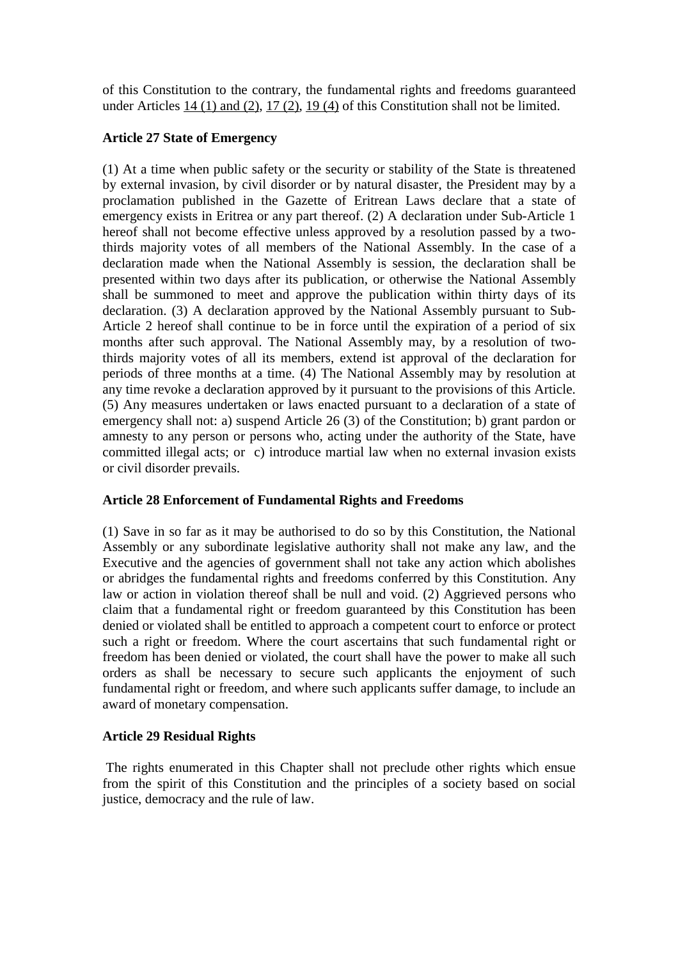of this Constitution to the contrary, the fundamental rights and freedoms guaranteed under Articles [14 \(1\) and \(2\), 17 \(2\), 19 \(4\)](http://www.uni-wuerzburg.de/law/) of this Constitution shall not be limited.

# **Article 27 State of Emergency**

(1) At a time when public safety or the security or stability of the State is threatened by external invasion, by civil disorder or by natural disaster, the President may by a proclamation published in the Gazette of Eritrean Laws declare that a state of emergency exists in Eritrea or any part thereof. (2) A declaration under Sub-Article 1 hereof shall not become effective unless approved by a resolution passed by a twothirds majority votes of all members of the National Assembly. In the case of a declaration made when the National Assembly is session, the declaration shall be presented within two days after its publication, or otherwise the National Assembly shall be summoned to meet and approve the publication within thirty days of its declaration. (3) A declaration approved by the National Assembly pursuant to Sub-Article 2 hereof shall continue to be in force until the expiration of a period of six months after such approval. The National Assembly may, by a resolution of twothirds majority votes of all its members, extend ist approval of the declaration for periods of three months at a time. (4) The National Assembly may by resolution at any time revoke a declaration approved by it pursuant to the provisions of this Article. (5) Any measures undertaken or laws enacted pursuant to a declaration of a state of emergency shall not: a) suspend Article 26 (3) of the Constitution; b) grant pardon or amnesty to any person or persons who, acting under the authority of the State, have committed illegal acts; or c) introduce martial law when no external invasion exists or civil disorder prevails.

# **Article 28 Enforcement of Fundamental Rights and Freedoms**

(1) Save in so far as it may be authorised to do so by this Constitution, the National Assembly or any subordinate legislative authority shall not make any law, and the Executive and the agencies of government shall not take any action which abolishes or abridges the fundamental rights and freedoms conferred by this Constitution. Any law or action in violation thereof shall be null and void. (2) Aggrieved persons who claim that a fundamental right or freedom guaranteed by this Constitution has been denied or violated shall be entitled to approach a competent court to enforce or protect such a right or freedom. Where the court ascertains that such fundamental right or freedom has been denied or violated, the court shall have the power to make all such orders as shall be necessary to secure such applicants the enjoyment of such fundamental right or freedom, and where such applicants suffer damage, to include an award of monetary compensation.

# **Article 29 Residual Rights**

The rights enumerated in this Chapter shall not preclude other rights which ensue from the spirit of this Constitution and the principles of a society based on social justice, democracy and the rule of law.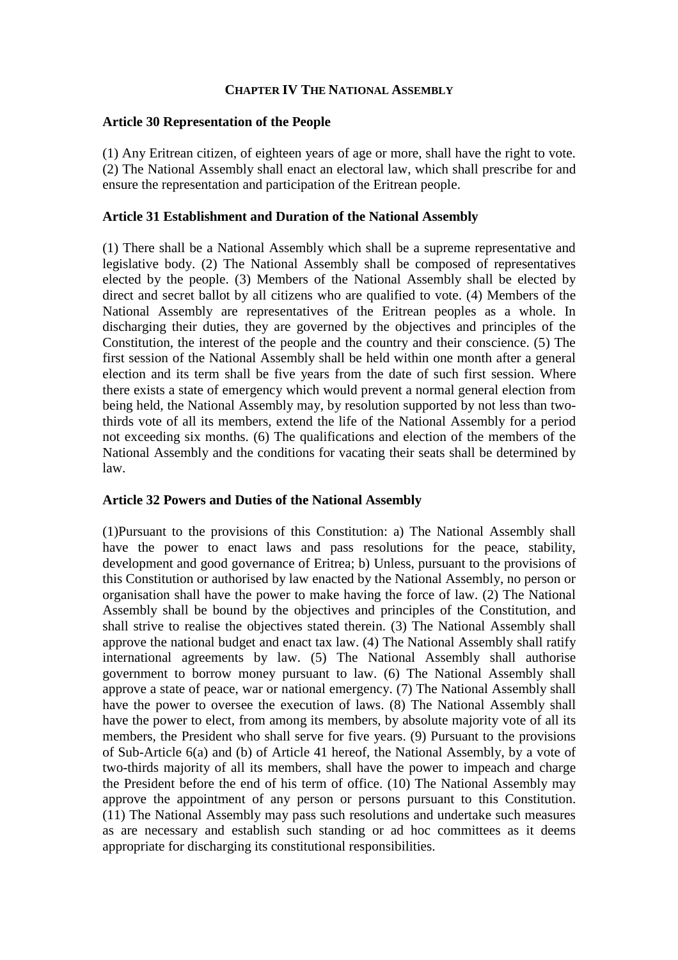#### **CHAPTER IV THE NATIONAL ASSEMBLY**

#### **Article 30 Representation of the People**

(1) Any Eritrean citizen, of eighteen years of age or more, shall have the right to vote. (2) The National Assembly shall enact an electoral law, which shall prescribe for and ensure the representation and participation of the Eritrean people.

#### **Article 31 Establishment and Duration of the National Assembly**

(1) There shall be a National Assembly which shall be a supreme representative and legislative body. (2) The National Assembly shall be composed of representatives elected by the people. (3) Members of the National Assembly shall be elected by direct and secret ballot by all citizens who are qualified to vote. (4) Members of the National Assembly are representatives of the Eritrean peoples as a whole. In discharging their duties, they are governed by the objectives and principles of the Constitution, the interest of the people and the country and their conscience. (5) The first session of the National Assembly shall be held within one month after a general election and its term shall be five years from the date of such first session. Where there exists a state of emergency which would prevent a normal general election from being held, the National Assembly may, by resolution supported by not less than twothirds vote of all its members, extend the life of the National Assembly for a period not exceeding six months. (6) The qualifications and election of the members of the National Assembly and the conditions for vacating their seats shall be determined by law.

#### **Article 32 Powers and Duties of the National Assembly**

(1)Pursuant to the provisions of this Constitution: a) The National Assembly shall have the power to enact laws and pass resolutions for the peace, stability, development and good governance of Eritrea; b) Unless, pursuant to the provisions of this Constitution or authorised by law enacted by the National Assembly, no person or organisation shall have the power to make having the force of law. (2) The National Assembly shall be bound by the objectives and principles of the Constitution, and shall strive to realise the objectives stated therein. (3) The National Assembly shall approve the national budget and enact tax law. (4) The National Assembly shall ratify international agreements by law. (5) The National Assembly shall authorise government to borrow money pursuant to law. (6) The National Assembly shall approve a state of peace, war or national emergency. (7) The National Assembly shall have the power to oversee the execution of laws. (8) The National Assembly shall have the power to elect, from among its members, by absolute majority vote of all its members, the President who shall serve for five years. (9) Pursuant to the provisions of Sub-Article 6(a) and (b) of Article 41 hereof, the National Assembly, by a vote of two-thirds majority of all its members, shall have the power to impeach and charge the President before the end of his term of office. (10) The National Assembly may approve the appointment of any person or persons pursuant to this Constitution. (11) The National Assembly may pass such resolutions and undertake such measures as are necessary and establish such standing or ad hoc committees as it deems appropriate for discharging its constitutional responsibilities.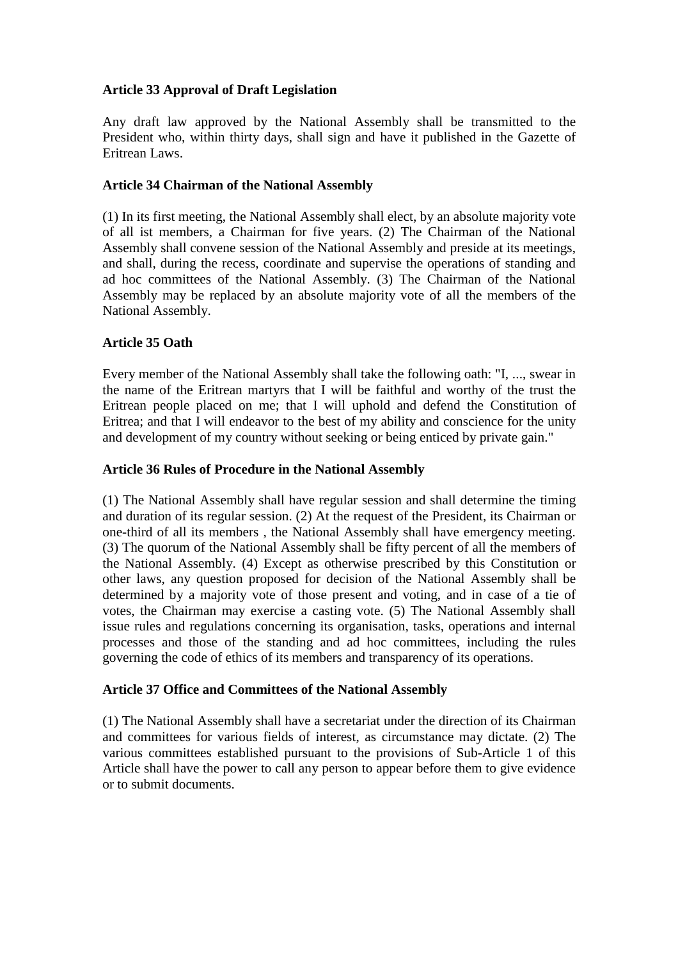# **Article 33 Approval of Draft Legislation**

Any draft law approved by the National Assembly shall be transmitted to the President who, within thirty days, shall sign and have it published in the Gazette of Eritrean Laws.

#### **Article 34 Chairman of the National Assembly**

(1) In its first meeting, the National Assembly shall elect, by an absolute majority vote of all ist members, a Chairman for five years. (2) The Chairman of the National Assembly shall convene session of the National Assembly and preside at its meetings, and shall, during the recess, coordinate and supervise the operations of standing and ad hoc committees of the National Assembly. (3) The Chairman of the National Assembly may be replaced by an absolute majority vote of all the members of the National Assembly.

#### **Article 35 Oath**

Every member of the National Assembly shall take the following oath: "I, ..., swear in the name of the Eritrean martyrs that I will be faithful and worthy of the trust the Eritrean people placed on me; that I will uphold and defend the Constitution of Eritrea; and that I will endeavor to the best of my ability and conscience for the unity and development of my country without seeking or being enticed by private gain."

#### **Article 36 Rules of Procedure in the National Assembly**

(1) The National Assembly shall have regular session and shall determine the timing and duration of its regular session. (2) At the request of the President, its Chairman or one-third of all its members , the National Assembly shall have emergency meeting. (3) The quorum of the National Assembly shall be fifty percent of all the members of the National Assembly. (4) Except as otherwise prescribed by this Constitution or other laws, any question proposed for decision of the National Assembly shall be determined by a majority vote of those present and voting, and in case of a tie of votes, the Chairman may exercise a casting vote. (5) The National Assembly shall issue rules and regulations concerning its organisation, tasks, operations and internal processes and those of the standing and ad hoc committees, including the rules governing the code of ethics of its members and transparency of its operations.

#### **Article 37 Office and Committees of the National Assembly**

(1) The National Assembly shall have a secretariat under the direction of its Chairman and committees for various fields of interest, as circumstance may dictate. (2) The various committees established pursuant to the provisions of Sub-Article 1 of this Article shall have the power to call any person to appear before them to give evidence or to submit documents.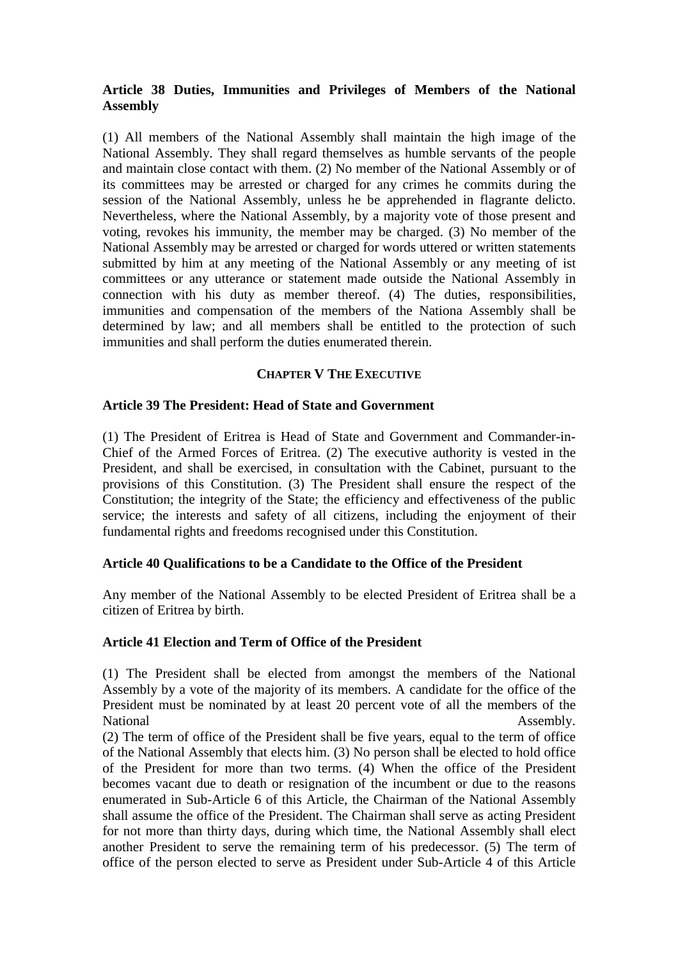# **Article 38 Duties, Immunities and Privileges of Members of the National Assembly**

(1) All members of the National Assembly shall maintain the high image of the National Assembly. They shall regard themselves as humble servants of the people and maintain close contact with them. (2) No member of the National Assembly or of its committees may be arrested or charged for any crimes he commits during the session of the National Assembly, unless he be apprehended in flagrante delicto. Nevertheless, where the National Assembly, by a majority vote of those present and voting, revokes his immunity, the member may be charged. (3) No member of the National Assembly may be arrested or charged for words uttered or written statements submitted by him at any meeting of the National Assembly or any meeting of ist committees or any utterance or statement made outside the National Assembly in connection with his duty as member thereof. (4) The duties, responsibilities, immunities and compensation of the members of the Nationa Assembly shall be determined by law; and all members shall be entitled to the protection of such immunities and shall perform the duties enumerated therein.

#### **CHAPTER V THE EXECUTIVE**

#### **Article 39 The President: Head of State and Government**

(1) The President of Eritrea is Head of State and Government and Commander-in-Chief of the Armed Forces of Eritrea. (2) The executive authority is vested in the President, and shall be exercised, in consultation with the Cabinet, pursuant to the provisions of this Constitution. (3) The President shall ensure the respect of the Constitution; the integrity of the State; the efficiency and effectiveness of the public service; the interests and safety of all citizens, including the enjoyment of their fundamental rights and freedoms recognised under this Constitution.

#### **Article 40 Qualifications to be a Candidate to the Office of the President**

Any member of the National Assembly to be elected President of Eritrea shall be a citizen of Eritrea by birth.

# **Article 41 Election and Term of Office of the President**

(1) The President shall be elected from amongst the members of the National Assembly by a vote of the majority of its members. A candidate for the office of the President must be nominated by at least 20 percent vote of all the members of the National Assembly.

(2) The term of office of the President shall be five years, equal to the term of office of the National Assembly that elects him. (3) No person shall be elected to hold office of the President for more than two terms. (4) When the office of the President becomes vacant due to death or resignation of the incumbent or due to the reasons enumerated in Sub-Article 6 of this Article, the Chairman of the National Assembly shall assume the office of the President. The Chairman shall serve as acting President for not more than thirty days, during which time, the National Assembly shall elect another President to serve the remaining term of his predecessor. (5) The term of office of the person elected to serve as President under Sub-Article 4 of this Article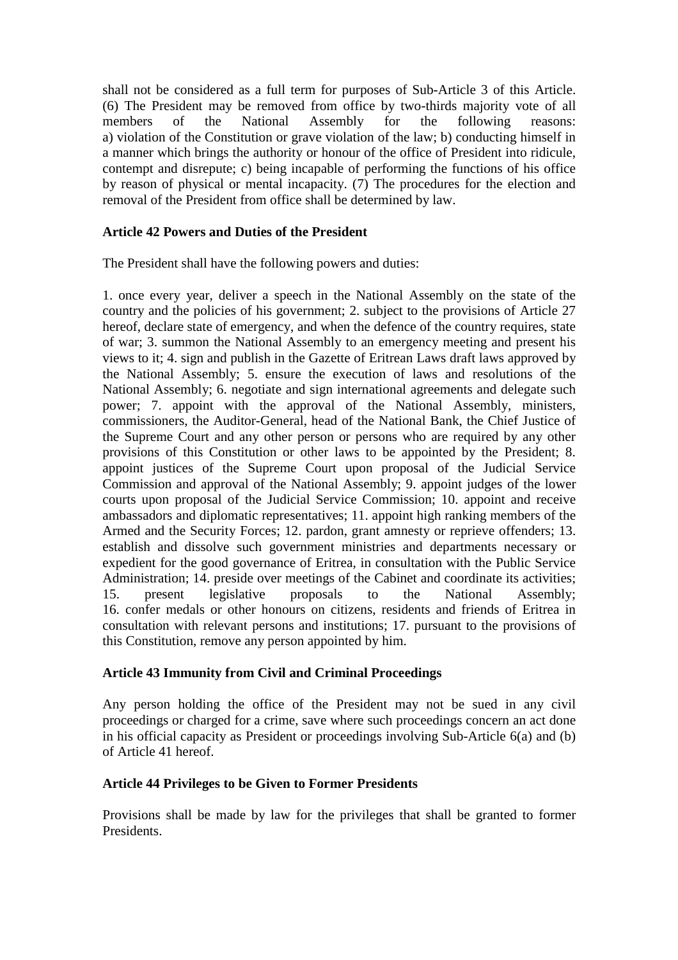shall not be considered as a full term for purposes of Sub-Article 3 of this Article. (6) The President may be removed from office by two-thirds majority vote of all members of the National Assembly for the following reasons: a) violation of the Constitution or grave violation of the law; b) conducting himself in a manner which brings the authority or honour of the office of President into ridicule, contempt and disrepute; c) being incapable of performing the functions of his office by reason of physical or mental incapacity. (7) The procedures for the election and removal of the President from office shall be determined by law.

# **Article 42 Powers and Duties of the President**

The President shall have the following powers and duties:

1. once every year, deliver a speech in the National Assembly on the state of the country and the policies of his government; 2. subject to the provisions of Article 27 hereof, declare state of emergency, and when the defence of the country requires, state of war; 3. summon the National Assembly to an emergency meeting and present his views to it; 4. sign and publish in the Gazette of Eritrean Laws draft laws approved by the National Assembly; 5. ensure the execution of laws and resolutions of the National Assembly; 6. negotiate and sign international agreements and delegate such power; 7. appoint with the approval of the National Assembly, ministers, commissioners, the Auditor-General, head of the National Bank, the Chief Justice of the Supreme Court and any other person or persons who are required by any other provisions of this Constitution or other laws to be appointed by the President; 8. appoint justices of the Supreme Court upon proposal of the Judicial Service Commission and approval of the National Assembly; 9. appoint judges of the lower courts upon proposal of the Judicial Service Commission; 10. appoint and receive ambassadors and diplomatic representatives; 11. appoint high ranking members of the Armed and the Security Forces; 12. pardon, grant amnesty or reprieve offenders; 13. establish and dissolve such government ministries and departments necessary or expedient for the good governance of Eritrea, in consultation with the Public Service Administration; 14. preside over meetings of the Cabinet and coordinate its activities; 15. present legislative proposals to the National Assembly; 16. confer medals or other honours on citizens, residents and friends of Eritrea in consultation with relevant persons and institutions; 17. pursuant to the provisions of this Constitution, remove any person appointed by him.

# **Article 43 Immunity from Civil and Criminal Proceedings**

Any person holding the office of the President may not be sued in any civil proceedings or charged for a crime, save where such proceedings concern an act done in his official capacity as President or proceedings involving Sub-Article 6(a) and (b) of Article 41 hereof.

#### **Article 44 Privileges to be Given to Former Presidents**

Provisions shall be made by law for the privileges that shall be granted to former Presidents.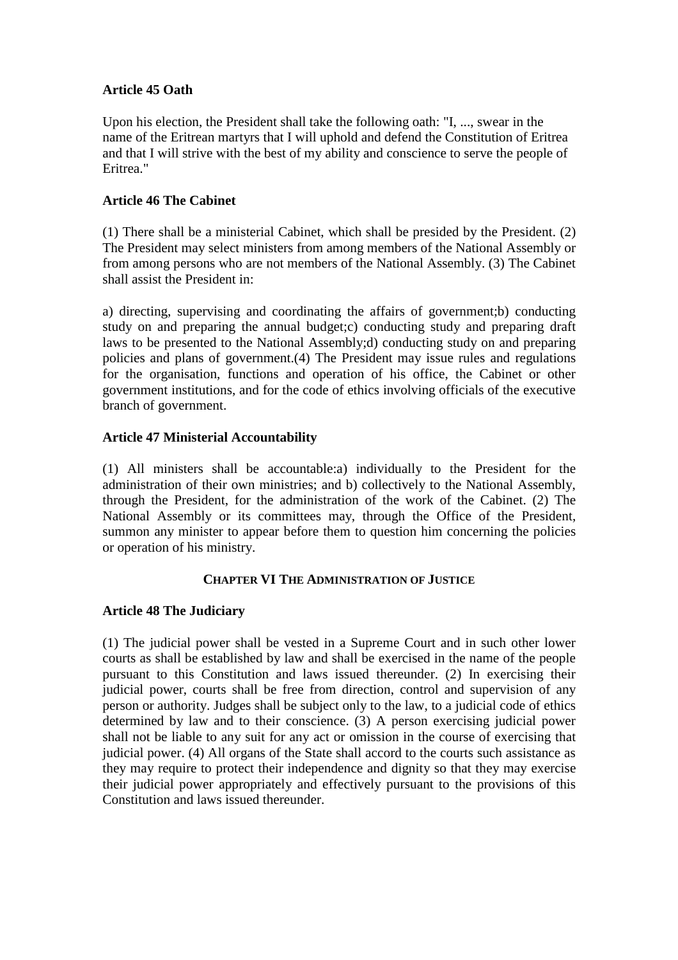# **Article 45 Oath**

Upon his election, the President shall take the following oath: "I, ..., swear in the name of the Eritrean martyrs that I will uphold and defend the Constitution of Eritrea and that I will strive with the best of my ability and conscience to serve the people of Eritrea."

#### **Article 46 The Cabinet**

(1) There shall be a ministerial Cabinet, which shall be presided by the President. (2) The President may select ministers from among members of the National Assembly or from among persons who are not members of the National Assembly. (3) The Cabinet shall assist the President in:

a) directing, supervising and coordinating the affairs of government;b) conducting study on and preparing the annual budget;c) conducting study and preparing draft laws to be presented to the National Assembly;d) conducting study on and preparing policies and plans of government.(4) The President may issue rules and regulations for the organisation, functions and operation of his office, the Cabinet or other government institutions, and for the code of ethics involving officials of the executive branch of government.

#### **Article 47 Ministerial Accountability**

(1) All ministers shall be accountable:a) individually to the President for the administration of their own ministries; and b) collectively to the National Assembly, through the President, for the administration of the work of the Cabinet. (2) The National Assembly or its committees may, through the Office of the President, summon any minister to appear before them to question him concerning the policies or operation of his ministry.

#### **CHAPTER VI THE ADMINISTRATION OF JUSTICE**

# **Article 48 The Judiciary**

(1) The judicial power shall be vested in a Supreme Court and in such other lower courts as shall be established by law and shall be exercised in the name of the people pursuant to this Constitution and laws issued thereunder. (2) In exercising their judicial power, courts shall be free from direction, control and supervision of any person or authority. Judges shall be subject only to the law, to a judicial code of ethics determined by law and to their conscience. (3) A person exercising judicial power shall not be liable to any suit for any act or omission in the course of exercising that judicial power. (4) All organs of the State shall accord to the courts such assistance as they may require to protect their independence and dignity so that they may exercise their judicial power appropriately and effectively pursuant to the provisions of this Constitution and laws issued thereunder.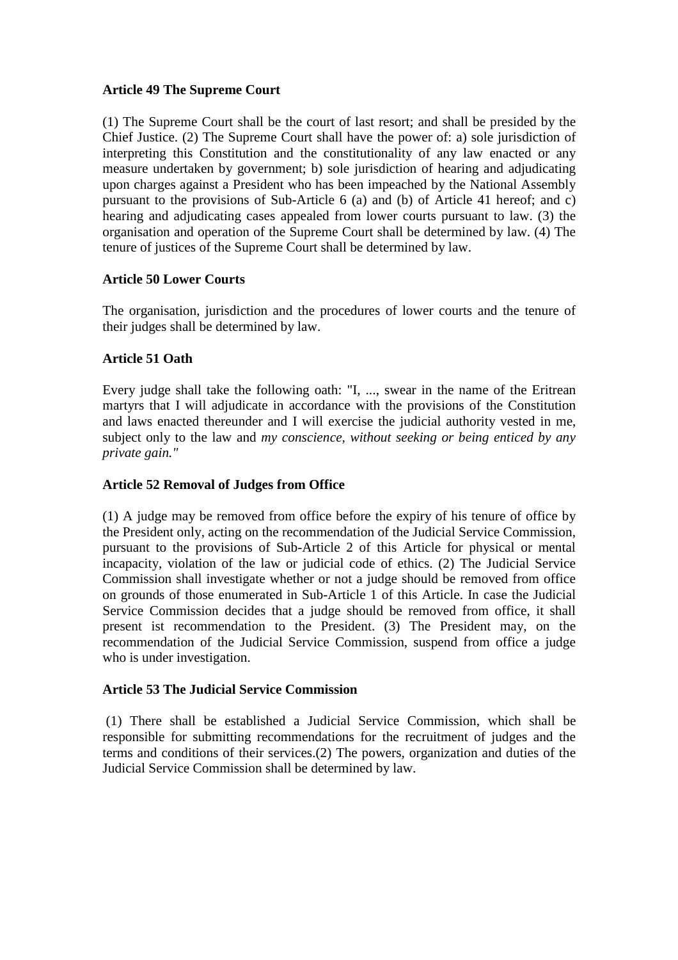#### **Article 49 The Supreme Court**

(1) The Supreme Court shall be the court of last resort; and shall be presided by the Chief Justice. (2) The Supreme Court shall have the power of: a) sole jurisdiction of interpreting this Constitution and the constitutionality of any law enacted or any measure undertaken by government; b) sole jurisdiction of hearing and adjudicating upon charges against a President who has been impeached by the National Assembly pursuant to the provisions of Sub-Article 6 (a) and (b) of Article 41 hereof; and c) hearing and adjudicating cases appealed from lower courts pursuant to law. (3) the organisation and operation of the Supreme Court shall be determined by law. (4) The tenure of justices of the Supreme Court shall be determined by law.

#### **Article 50 Lower Courts**

The organisation, jurisdiction and the procedures of lower courts and the tenure of their judges shall be determined by law.

# **Article 51 Oath**

Every judge shall take the following oath: "I, ..., swear in the name of the Eritrean martyrs that I will adjudicate in accordance with the provisions of the Constitution and laws enacted thereunder and I will exercise the judicial authority vested in me, subject only to the law and *my conscience, without seeking or being enticed by any private gain."*

# **Article 52 Removal of Judges from Office**

(1) A judge may be removed from office before the expiry of his tenure of office by the President only, acting on the recommendation of the Judicial Service Commission, pursuant to the provisions of Sub-Article 2 of this Article for physical or mental incapacity, violation of the law or judicial code of ethics. (2) The Judicial Service Commission shall investigate whether or not a judge should be removed from office on grounds of those enumerated in Sub-Article 1 of this Article. In case the Judicial Service Commission decides that a judge should be removed from office, it shall present ist recommendation to the President. (3) The President may, on the recommendation of the Judicial Service Commission, suspend from office a judge who is under investigation.

#### **Article 53 The Judicial Service Commission**

(1) There shall be established a Judicial Service Commission, which shall be responsible for submitting recommendations for the recruitment of judges and the terms and conditions of their services.(2) The powers, organization and duties of the Judicial Service Commission shall be determined by law.